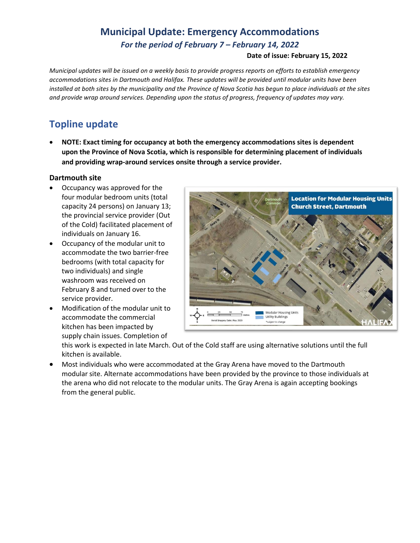# **Municipal Update: Emergency Accommodations** *For the period of February 7 – February 14, 2022*

#### **Date of issue: February 15, 2022**

*Municipal updates will be issued on a weekly basis to provide progress reports on efforts to establish emergency accommodations sites in Dartmouth and Halifax. These updates will be provided until modular units have been installed at both sites by the municipality and the Province of Nova Scotia has begun to place individuals at the sites and provide wrap around services. Depending upon the status of progress, frequency of updates may vary.* 

## **Topline update**

• **NOTE: Exact timing for occupancy at both the emergency accommodations sites is dependent upon the Province of Nova Scotia, which is responsible for determining placement of individuals and providing wrap-around services onsite through a service provider.**

#### **Dartmouth site**

- Occupancy was approved for the four modular bedroom units (total capacity 24 persons) on January 13; the provincial service provider (Out of the Cold) facilitated placement of individuals on January 16.
- Occupancy of the modular unit to accommodate the two barrier-free bedrooms (with total capacity for two individuals) and single washroom was received on February 8 and turned over to the service provider.
- Modification of the modular unit to accommodate the commercial kitchen has been impacted by supply chain issues. Completion of



this work is expected in late March. Out of the Cold staff are using alternative solutions until the full kitchen is available.

• Most individuals who were accommodated at the Gray Arena have moved to the Dartmouth modular site. Alternate accommodations have been provided by the province to those individuals at the arena who did not relocate to the modular units. The Gray Arena is again accepting bookings from the general public.